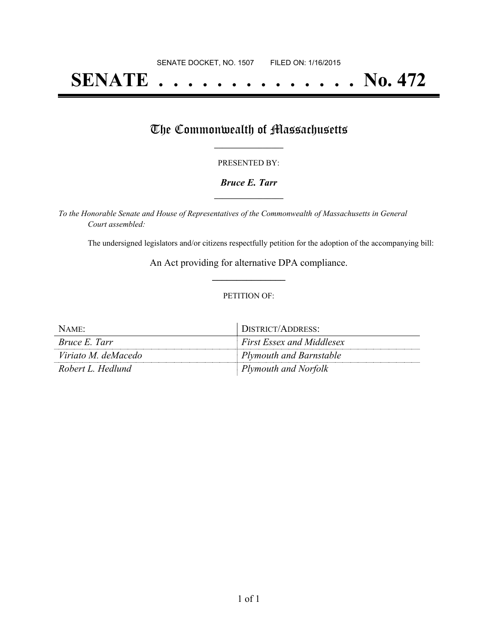# **SENATE . . . . . . . . . . . . . . No. 472**

## The Commonwealth of Massachusetts

#### PRESENTED BY:

#### *Bruce E. Tarr* **\_\_\_\_\_\_\_\_\_\_\_\_\_\_\_\_\_**

*To the Honorable Senate and House of Representatives of the Commonwealth of Massachusetts in General Court assembled:*

The undersigned legislators and/or citizens respectfully petition for the adoption of the accompanying bill:

An Act providing for alternative DPA compliance. **\_\_\_\_\_\_\_\_\_\_\_\_\_\_\_**

#### PETITION OF:

| NAME:                | DISTRICT/ADDRESS:                |
|----------------------|----------------------------------|
| <i>Bruce E. Tarr</i> | <b>First Essex and Middlesex</b> |
| Viriato M. deMacedo  | Plymouth and Barnstable          |
| Robert L. Hedlund    | Plymouth and Norfolk             |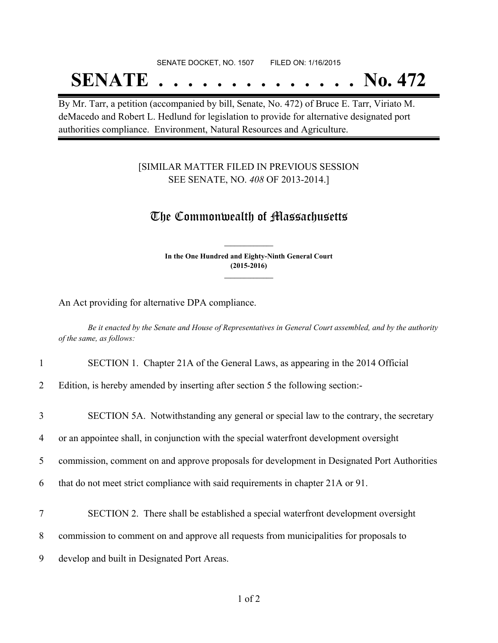# SENATE DOCKET, NO. 1507 FILED ON: 1/16/2015

# **SENATE . . . . . . . . . . . . . . No. 472**

By Mr. Tarr, a petition (accompanied by bill, Senate, No. 472) of Bruce E. Tarr, Viriato M. deMacedo and Robert L. Hedlund for legislation to provide for alternative designated port authorities compliance. Environment, Natural Resources and Agriculture.

## [SIMILAR MATTER FILED IN PREVIOUS SESSION SEE SENATE, NO. *408* OF 2013-2014.]

## The Commonwealth of Massachusetts

**In the One Hundred and Eighty-Ninth General Court (2015-2016) \_\_\_\_\_\_\_\_\_\_\_\_\_\_\_**

**\_\_\_\_\_\_\_\_\_\_\_\_\_\_\_**

An Act providing for alternative DPA compliance.

Be it enacted by the Senate and House of Representatives in General Court assembled, and by the authority *of the same, as follows:*

### 1 SECTION 1. Chapter 21A of the General Laws, as appearing in the 2014 Official

2 Edition, is hereby amended by inserting after section 5 the following section:-

# 3 SECTION 5A. Notwithstanding any general or special law to the contrary, the secretary

4 or an appointee shall, in conjunction with the special waterfront development oversight

5 commission, comment on and approve proposals for development in Designated Port Authorities

6 that do not meet strict compliance with said requirements in chapter 21A or 91.

- 7 SECTION 2. There shall be established a special waterfront development oversight
- 8 commission to comment on and approve all requests from municipalities for proposals to

9 develop and built in Designated Port Areas.